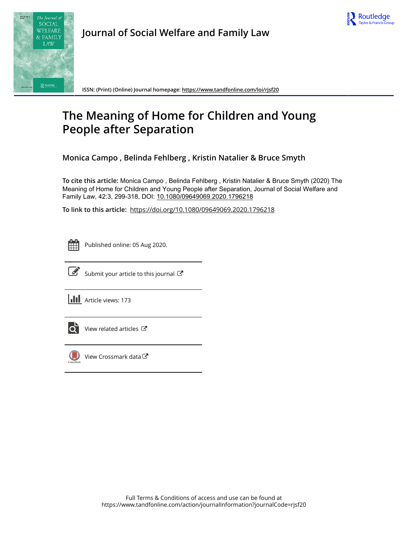



**Journal of Social Welfare and Family Law**

**ISSN: (Print) (Online) Journal homepage:<https://www.tandfonline.com/loi/rjsf20>**

# **The Meaning of Home for Children and Young People after Separation**

**Monica Campo , Belinda Fehlberg , Kristin Natalier & Bruce Smyth**

**To cite this article:** Monica Campo , Belinda Fehlberg , Kristin Natalier & Bruce Smyth (2020) The Meaning of Home for Children and Young People after Separation, Journal of Social Welfare and Family Law, 42:3, 299-318, DOI: [10.1080/09649069.2020.1796218](https://www.tandfonline.com/action/showCitFormats?doi=10.1080/09649069.2020.1796218)

**To link to this article:** <https://doi.org/10.1080/09649069.2020.1796218>



Published online: 05 Aug 2020.



 $\overrightarrow{S}$  [Submit your article to this journal](https://www.tandfonline.com/action/authorSubmission?journalCode=rjsf20&show=instructions)  $\overrightarrow{S}$ 

**III** Article views: 173



[View related articles](https://www.tandfonline.com/doi/mlt/10.1080/09649069.2020.1796218) C



[View Crossmark data](http://crossmark.crossref.org/dialog/?doi=10.1080/09649069.2020.1796218&domain=pdf&date_stamp=2020-08-05)<sup>C</sup>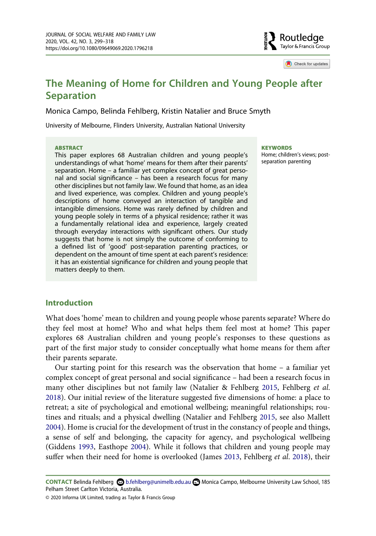

Check for updates

# **The Meaning of Home for Children and Young People after Separation**

Monica Campo, Belinda Fehlberg, Kristin Natalier and Bruce Smyth

University of Melbourne, Flinders University, Australian National University

#### **ABSTRACT**

This paper explores 68 Australian children and young people's understandings of what 'home' means for them after their parents' separation. Home – a familiar yet complex concept of great personal and social significance – has been a research focus for many other disciplines but not family law. We found that home, as an idea and lived experience, was complex. Children and young people's descriptions of home conveyed an interaction of tangible and intangible dimensions. Home was rarely defined by children and young people solely in terms of a physical residence; rather it was a fundamentally relational idea and experience, largely created through everyday interactions with significant others. Our study suggests that home is not simply the outcome of conforming to a defined list of 'good' post-separation parenting practices, or dependent on the amount of time spent at each parent's residence: it has an existential significance for children and young people that matters deeply to them.

#### **KEYWORDS**

Home; children's views; postseparation parenting

#### **Introduction**

What does 'home' mean to children and young people whose parents separate? Where do they feel most at home? Who and what helps them feel most at home? This paper explores 68 Australian children and young people's responses to these questions as part of the first major study to consider conceptually what home means for them after their parents separate.

<span id="page-1-2"></span><span id="page-1-1"></span><span id="page-1-0"></span>Our starting point for this research was the observation that home – a familiar yet complex concept of great personal and social significance – had been a research focus in many other disciplines but not family law (Natalier & Fehlberg [2015,](#page-20-0) Fehlberg *et al*. [2018](#page-19-0)). Our initial review of the literature suggested five dimensions of home: a place to retreat; a site of psychological and emotional wellbeing; meaningful relationships; routines and rituals; and a physical dwelling (Natalier and Fehlberg [2015](#page-20-0), see also Mallett [2004](#page-20-1)). Home is crucial for the development of trust in the constancy of people and things, a sense of self and belonging, the capacity for agency, and psychological wellbeing (Giddens [1993](#page-19-1), Easthope [2004\)](#page-19-2). While it follows that children and young people may suffer when their need for home is overlooked (James [2013](#page-20-2), Fehlberg *et al*. [2018](#page-19-0)), their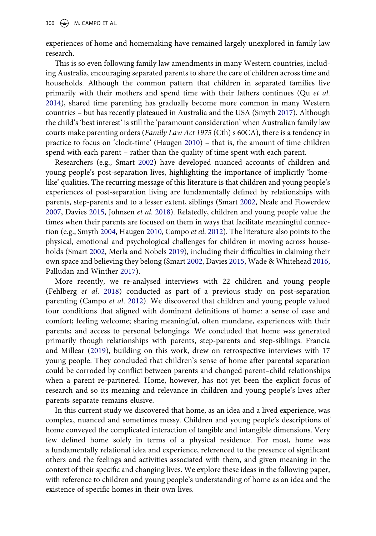experiences of home and homemaking have remained largely unexplored in family law research.

<span id="page-2-9"></span><span id="page-2-8"></span>This is so even following family law amendments in many Western countries, including Australia, encouraging separated parents to share the care of children across time and households. Although the common pattern that children in separated families live primarily with their mothers and spend time with their fathers continues (Qu *et al*. [2014](#page-20-3)), shared time parenting has gradually become more common in many Western countries – but has recently plateaued in Australia and the USA (Smyth [2017](#page-20-4)). Although the child's 'best interest' is still the 'paramount consideration' when Australian family law courts make parenting orders (*Family Law Act 1975* (Cth) s 60CA), there is a tendency in practice to focus on 'clock-time' (Haugen [2010](#page-20-5)) – that is, the amount of time children spend with each parent – rather than the quality of time spent with each parent.

<span id="page-2-6"></span><span id="page-2-4"></span>Researchers (e.g., Smart [2002\)](#page-20-6) have developed nuanced accounts of children and young people's post-separation lives, highlighting the importance of implicitly 'homelike' qualities. The recurring message of this literature is that children and young people's experiences of post-separation living are fundamentally defined by relationships with parents, step-parents and to a lesser extent, siblings (Smart [2002](#page-20-6), Neale and Flowerdew [2007](#page-20-7), Davies [2015](#page-19-3), Johnsen *et al*. [2018\)](#page-20-8). Relatedly, children and young people value the times when their parents are focused on them in ways that facilitate meaningful connection (e.g., Smyth [2004,](#page-20-9) Haugen [2010](#page-20-5), Campo *et al*. [2012\)](#page-19-4). The literature also points to the physical, emotional and psychological challenges for children in moving across households (Smart [2002,](#page-20-6) Merla and Nobels [2019\)](#page-20-10), including their difficulties in claiming their own space and believing they belong (Smart [2002,](#page-20-6) Davies [2015,](#page-19-3) Wade & Whitehead [2016,](#page-20-11) Palludan and Winther [2017](#page-20-12)).

<span id="page-2-7"></span><span id="page-2-5"></span><span id="page-2-3"></span><span id="page-2-1"></span><span id="page-2-0"></span>More recently, we re-analysed interviews with 22 children and young people (Fehlberg *et al*. [2018](#page-19-0)) conducted as part of a previous study on post-separation parenting (Campo *et al*. [2012](#page-19-4)). We discovered that children and young people valued four conditions that aligned with dominant definitions of home: a sense of ease and comfort; feeling welcome; sharing meaningful, often mundane, experiences with their parents; and access to personal belongings. We concluded that home was generated primarily though relationships with parents, step-parents and step-siblings. Francia and Millear ([2019\)](#page-19-5), building on this work, drew on retrospective interviews with 17 young people. They concluded that children's sense of home after parental separation could be corroded by conflict between parents and changed parent–child relationships when a parent re-partnered. Home, however, has not yet been the explicit focus of research and so its meaning and relevance in children and young people's lives after parents separate remains elusive.

<span id="page-2-2"></span>In this current study we discovered that home, as an idea and a lived experience, was complex, nuanced and sometimes messy. Children and young people's descriptions of home conveyed the complicated interaction of tangible and intangible dimensions. Very few defined home solely in terms of a physical residence. For most, home was a fundamentally relational idea and experience, referenced to the presence of significant others and the feelings and activities associated with them, and given meaning in the context of their specific and changing lives. We explore these ideas in the following paper, with reference to children and young people's understanding of home as an idea and the existence of specific homes in their own lives.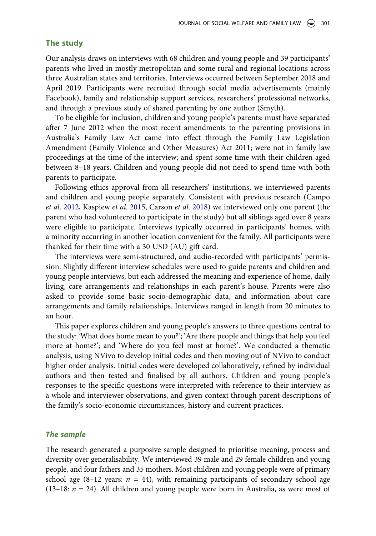#### **The study**

Our analysis draws on interviews with 68 children and young people and 39 participants' parents who lived in mostly metropolitan and some rural and regional locations across three Australian states and territories. Interviews occurred between September 2018 and April 2019. Participants were recruited through social media advertisements (mainly Facebook), family and relationship support services, researchers' professional networks, and through a previous study of shared parenting by one author (Smyth).

To be eligible for inclusion, children and young people's parents: must have separated after 7 June 2012 when the most recent amendments to the parenting provisions in Australia's Family Law Act came into effect through the Family Law Legislation Amendment (Family Violence and Other Measures) Act 2011; were not in family law proceedings at the time of the interview; and spent some time with their children aged between 8–18 years. Children and young people did not need to spend time with both parents to participate.

<span id="page-3-0"></span>Following ethics approval from all researchers' institutions, we interviewed parents and children and young people separately. Consistent with previous research (Campo *et al*. [2012,](#page-19-4) Kaspiew *et al*. [2015,](#page-20-13) Carson *et al*. [2018\)](#page-19-6) we interviewed only one parent (the parent who had volunteered to participate in the study) but all siblings aged over 8 years were eligible to participate. Interviews typically occurred in participants' homes, with a minority occurring in another location convenient for the family. All participants were thanked for their time with a 30 USD (AU) gift card.

The interviews were semi-structured, and audio-recorded with participants' permission. Slightly different interview schedules were used to guide parents and children and young people interviews, but each addressed the meaning and experience of home, daily living, care arrangements and relationships in each parent's house. Parents were also asked to provide some basic socio-demographic data, and information about care arrangements and family relationships. Interviews ranged in length from 20 minutes to an hour.

This paper explores children and young people's answers to three questions central to the study: 'What does home mean to you?'; 'Are there people and things that help you feel more at home?'; and 'Where do you feel most at home?'. We conducted a thematic analysis, using NVivo to develop initial codes and then moving out of NVivo to conduct higher order analysis. Initial codes were developed collaboratively, refined by individual authors and then tested and finalised by all authors. Children and young people's responses to the specific questions were interpreted with reference to their interview as a whole and interviewer observations, and given context through parent descriptions of the family's socio-economic circumstances, history and current practices.

#### *The sample*

The research generated a purposive sample designed to prioritise meaning, process and diversity over generalisability. We interviewed 39 male and 29 female children and young people, and four fathers and 35 mothers. Most children and young people were of primary school age  $(8-12 \text{ years: } n = 44)$ , with remaining participants of secondary school age (13–18:  $n = 24$ ). All children and young people were born in Australia, as were most of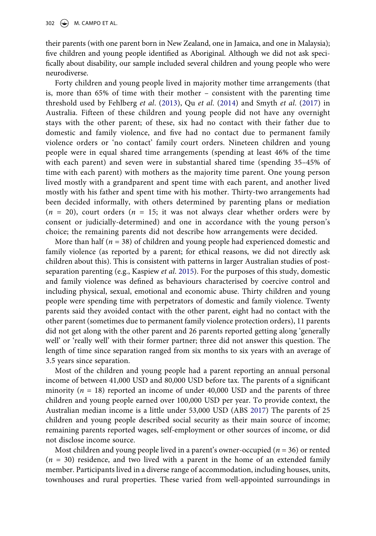their parents (with one parent born in New Zealand, one in Jamaica, and one in Malaysia); five children and young people identified as Aboriginal. Although we did not ask specifically about disability, our sample included several children and young people who were neurodiverse.

<span id="page-4-1"></span>Forty children and young people lived in majority mother time arrangements (that is, more than 65% of time with their mother – consistent with the parenting time threshold used by Fehlberg *et al*. [\(2013\)](#page-19-7), Qu *et al*. ([2014](#page-20-3)) and Smyth *et al*. ([2017](#page-20-14)) in Australia. Fifteen of these children and young people did not have any overnight stays with the other parent; of these, six had no contact with their father due to domestic and family violence, and five had no contact due to permanent family violence orders or 'no contact' family court orders. Nineteen children and young people were in equal shared time arrangements (spending at least 46% of the time with each parent) and seven were in substantial shared time (spending 35–45% of time with each parent) with mothers as the majority time parent. One young person lived mostly with a grandparent and spent time with each parent, and another lived mostly with his father and spent time with his mother. Thirty-two arrangements had been decided informally, with others determined by parenting plans or mediation (*n* = 20), court orders (*n* = 15; it was not always clear whether orders were by consent or judicially-determined) and one in accordance with the young person's choice; the remaining parents did not describe how arrangements were decided.

More than half ( $n = 38$ ) of children and young people had experienced domestic and family violence (as reported by a parent; for ethical reasons, we did not directly ask children about this). This is consistent with patterns in larger Australian studies of postseparation parenting (e.g., Kaspiew *et al*. [2015\)](#page-20-13). For the purposes of this study, domestic and family violence was defined as behaviours characterised by coercive control and including physical, sexual, emotional and economic abuse. Thirty children and young people were spending time with perpetrators of domestic and family violence. Twenty parents said they avoided contact with the other parent, eight had no contact with the other parent (sometimes due to permanent family violence protection orders), 11 parents did not get along with the other parent and 26 parents reported getting along 'generally well' or 'really well' with their former partner; three did not answer this question. The length of time since separation ranged from six months to six years with an average of 3.5 years since separation.

<span id="page-4-0"></span>Most of the children and young people had a parent reporting an annual personal income of between 41,000 USD and 80,000 USD before tax. The parents of a significant minority  $(n = 18)$  reported an income of under 40,000 USD and the parents of three children and young people earned over 100,000 USD per year. To provide context, the Australian median income is a little under 53,000 USD (ABS [2017\)](#page-19-8) The parents of 25 children and young people described social security as their main source of income; remaining parents reported wages, self-employment or other sources of income, or did not disclose income source.

Most children and young people lived in a parent's owner-occupied (*n* = 36) or rented  $(n = 30)$  residence, and two lived with a parent in the home of an extended family member. Participants lived in a diverse range of accommodation, including houses, units, townhouses and rural properties. These varied from well-appointed surroundings in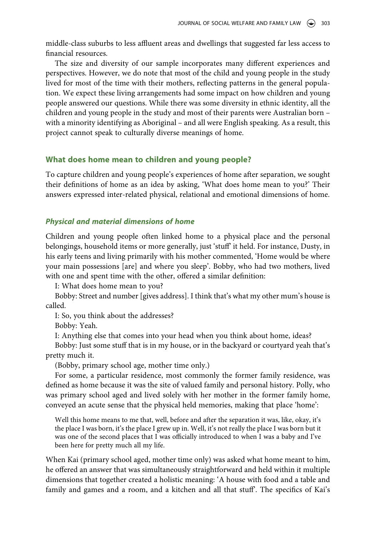middle-class suburbs to less affluent areas and dwellings that suggested far less access to financial resources.

The size and diversity of our sample incorporates many different experiences and perspectives. However, we do note that most of the child and young people in the study lived for most of the time with their mothers, reflecting patterns in the general population. We expect these living arrangements had some impact on how children and young people answered our questions. While there was some diversity in ethnic identity, all the children and young people in the study and most of their parents were Australian born – with a minority identifying as Aboriginal – and all were English speaking. As a result, this project cannot speak to culturally diverse meanings of home.

### **What does home mean to children and young people?**

To capture children and young people's experiences of home after separation, we sought their definitions of home as an idea by asking, 'What does home mean to you?' Their answers expressed inter-related physical, relational and emotional dimensions of home.

#### *Physical and material dimensions of home*

Children and young people often linked home to a physical place and the personal belongings, household items or more generally, just 'stuff' it held. For instance, Dusty, in his early teens and living primarily with his mother commented, 'Home would be where your main possessions [are] and where you sleep'. Bobby, who had two mothers, lived with one and spent time with the other, offered a similar definition:

I: What does home mean to you?

Bobby: Street and number [gives address]. I think that's what my other mum's house is called.

I: So, you think about the addresses?

Bobby: Yeah.

I: Anything else that comes into your head when you think about home, ideas?

Bobby: Just some stuff that is in my house, or in the backyard or courtyard yeah that's pretty much it.

(Bobby, primary school age, mother time only.)

For some, a particular residence, most commonly the former family residence, was defined as home because it was the site of valued family and personal history. Polly, who was primary school aged and lived solely with her mother in the former family home, conveyed an acute sense that the physical held memories, making that place 'home':

Well this home means to me that, well, before and after the separation it was, like, okay, it's the place I was born, it's the place I grew up in. Well, it's not really the place I was born but it was one of the second places that I was officially introduced to when I was a baby and I've been here for pretty much all my life.

When Kai (primary school aged, mother time only) was asked what home meant to him, he offered an answer that was simultaneously straightforward and held within it multiple dimensions that together created a holistic meaning: 'A house with food and a table and family and games and a room, and a kitchen and all that stuff'. The specifics of Kai's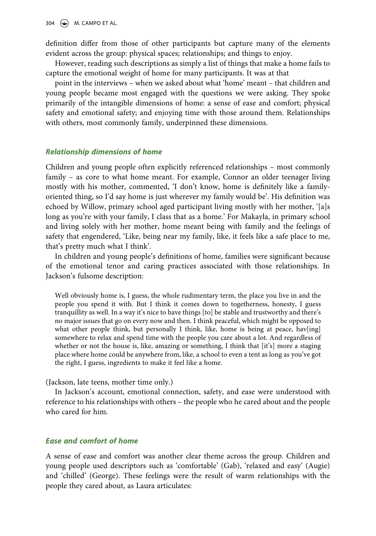definition differ from those of other participants but capture many of the elements evident across the group: physical spaces; relationships; and things to enjoy.

However, reading such descriptions as simply a list of things that make a home fails to capture the emotional weight of home for many participants. It was at that

point in the interviews – when we asked about what 'home' meant – that children and young people became most engaged with the questions we were asking. They spoke primarily of the intangible dimensions of home: a sense of ease and comfort; physical safety and emotional safety; and enjoying time with those around them. Relationships with others, most commonly family, underpinned these dimensions.

#### *Relationship dimensions of home*

Children and young people often explicitly referenced relationships – most commonly family – as core to what home meant. For example, Connor an older teenager living mostly with his mother, commented, 'I don't know, home is definitely like a familyoriented thing, so I'd say home is just wherever my family would be'. His definition was echoed by Willow, primary school aged participant living mostly with her mother, '[a]s long as you're with your family, I class that as a home.' For Makayla, in primary school and living solely with her mother, home meant being with family and the feelings of safety that engendered, 'Like, being near my family, like, it feels like a safe place to me, that's pretty much what I think'.

In children and young people's definitions of home, families were significant because of the emotional tenor and caring practices associated with those relationships. In Jackson's fulsome description:

Well obviously home is, I guess, the whole rudimentary term, the place you live in and the people you spend it with. But I think it comes down to togetherness, honesty, I guess tranquillity as well. In a way it's nice to have things [to] be stable and trustworthy and there's no major issues that go on every now and then. I think peaceful, which might be opposed to what other people think, but personally I think, like, home is being at peace, hav $[ing]$ somewhere to relax and spend time with the people you care about a lot. And regardless of whether or not the house is, like, amazing or something, I think that [it's] more a staging place where home could be anywhere from, like, a school to even a tent as long as you've got the right, I guess, ingredients to make it feel like a home.

(Jackson, late teens, mother time only.)

In Jackson's account, emotional connection, safety, and ease were understood with reference to his relationships with others – the people who he cared about and the people who cared for him.

#### *Ease and comfort of home*

A sense of ease and comfort was another clear theme across the group. Children and young people used descriptors such as 'comfortable' (Gab), 'relaxed and easy' (Augie) and 'chilled' (George). These feelings were the result of warm relationships with the people they cared about, as Laura articulates: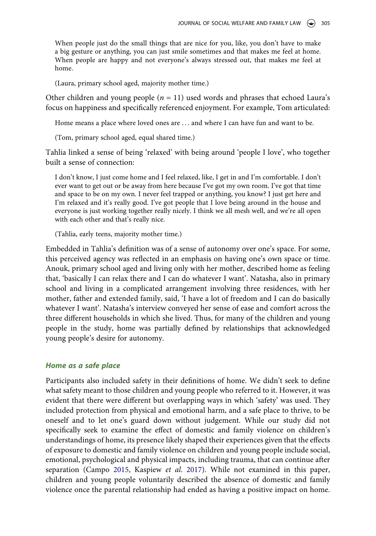When people just do the small things that are nice for you, like, you don't have to make a big gesture or anything, you can just smile sometimes and that makes me feel at home. When people are happy and not everyone's always stressed out, that makes me feel at home.

(Laura, primary school aged, majority mother time.)

Other children and young people  $(n = 11)$  used words and phrases that echoed Laura's focus on happiness and specifically referenced enjoyment. For example, Tom articulated:

Home means a place where loved ones are ... and where I can have fun and want to be.

(Tom, primary school aged, equal shared time.)

Tahlia linked a sense of being 'relaxed' with being around 'people I love', who together built a sense of connection:

I don't know, I just come home and I feel relaxed, like, I get in and I'm comfortable. I don't ever want to get out or be away from here because I've got my own room. I've got that time and space to be on my own. I never feel trapped or anything, you know? I just get here and I'm relaxed and it's really good. I've got people that I love being around in the house and everyone is just working together really nicely. I think we all mesh well, and we're all open with each other and that's really nice.

(Tahlia, early teens, majority mother time.)

Embedded in Tahlia's definition was of a sense of autonomy over one's space. For some, this perceived agency was reflected in an emphasis on having one's own space or time. Anouk, primary school aged and living only with her mother, described home as feeling that, 'basically I can relax there and I can do whatever I want'. Natasha, also in primary school and living in a complicated arrangement involving three residences, with her mother, father and extended family, said, 'I have a lot of freedom and I can do basically whatever I want'. Natasha's interview conveyed her sense of ease and comfort across the three different households in which she lived. Thus, for many of the children and young people in the study, home was partially defined by relationships that acknowledged young people's desire for autonomy.

#### *Home as a safe place*

<span id="page-7-0"></span>Participants also included safety in their definitions of home. We didn't seek to define what safety meant to those children and young people who referred to it. However, it was evident that there were different but overlapping ways in which 'safety' was used. They included protection from physical and emotional harm, and a safe place to thrive, to be oneself and to let one's guard down without judgement. While our study did not specifically seek to examine the effect of domestic and family violence on children's understandings of home, its presence likely shaped their experiences given that the effects of exposure to domestic and family violence on children and young people include social, emotional, psychological and physical impacts, including trauma, that can continue after separation (Campo [2015](#page-19-9), Kaspiew *et al*. [2017](#page-20-15)). While not examined in this paper, children and young people voluntarily described the absence of domestic and family violence once the parental relationship had ended as having a positive impact on home.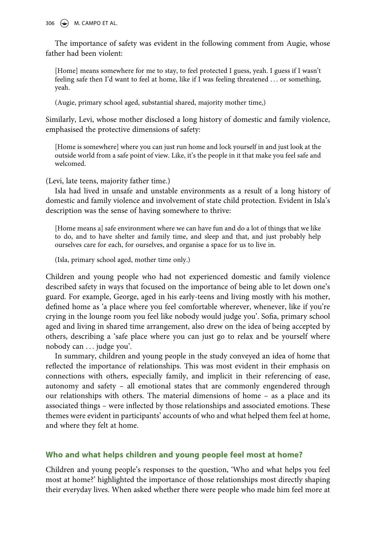306 **(e)** M. CAMPO ET AL.

The importance of safety was evident in the following comment from Augie, whose father had been violent:

[Home] means somewhere for me to stay, to feel protected I guess, yeah. I guess if I wasn't feeling safe then I'd want to feel at home, like if I was feeling threatened . . . or something, yeah.

(Augie, primary school aged, substantial shared, majority mother time,)

Similarly, Levi, whose mother disclosed a long history of domestic and family violence, emphasised the protective dimensions of safety:

[Home is somewhere] where you can just run home and lock yourself in and just look at the outside world from a safe point of view. Like, it's the people in it that make you feel safe and welcomed.

(Levi, late teens, majority father time.)

Isla had lived in unsafe and unstable environments as a result of a long history of domestic and family violence and involvement of state child protection. Evident in Isla's description was the sense of having somewhere to thrive:

[Home means a] safe environment where we can have fun and do a lot of things that we like to do, and to have shelter and family time, and sleep and that, and just probably help ourselves care for each, for ourselves, and organise a space for us to live in.

(Isla, primary school aged, mother time only.)

Children and young people who had not experienced domestic and family violence described safety in ways that focused on the importance of being able to let down one's guard. For example, George, aged in his early-teens and living mostly with his mother, defined home as 'a place where you feel comfortable wherever, whenever, like if you're crying in the lounge room you feel like nobody would judge you'. Sofia, primary school aged and living in shared time arrangement, also drew on the idea of being accepted by others, describing a 'safe place where you can just go to relax and be yourself where nobody can . . . judge you'.

In summary, children and young people in the study conveyed an idea of home that reflected the importance of relationships. This was most evident in their emphasis on connections with others, especially family, and implicit in their referencing of ease, autonomy and safety – all emotional states that are commonly engendered through our relationships with others. The material dimensions of home – as a place and its associated things – were inflected by those relationships and associated emotions. These themes were evident in participants' accounts of who and what helped them feel at home, and where they felt at home.

### **Who and what helps children and young people feel most at home?**

Children and young people's responses to the question, 'Who and what helps you feel most at home?' highlighted the importance of those relationships most directly shaping their everyday lives. When asked whether there were people who made him feel more at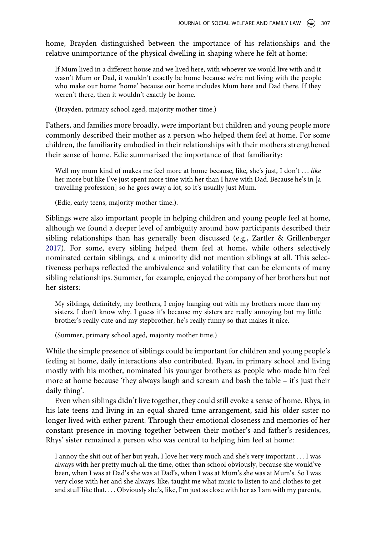home, Brayden distinguished between the importance of his relationships and the relative unimportance of the physical dwelling in shaping where he felt at home:

If Mum lived in a different house and we lived here, with whoever we would live with and it wasn't Mum or Dad, it wouldn't exactly be home because we're not living with the people who make our home 'home' because our home includes Mum here and Dad there. If they weren't there, then it wouldn't exactly be home.

(Brayden, primary school aged, majority mother time.)

Fathers, and families more broadly, were important but children and young people more commonly described their mother as a person who helped them feel at home. For some children, the familiarity embodied in their relationships with their mothers strengthened their sense of home. Edie summarised the importance of that familiarity:

Well my mum kind of makes me feel more at home because, like, she's just, I don't . . . *like*  her more but like I've just spent more time with her than I have with Dad. Because he's in [a travelling profession] so he goes away a lot, so it's usually just Mum.

(Edie, early teens, majority mother time.).

<span id="page-9-0"></span>Siblings were also important people in helping children and young people feel at home, although we found a deeper level of ambiguity around how participants described their sibling relationships than has generally been discussed (e.g., Zartler & Grillenberger [2017](#page-20-16)). For some, every sibling helped them feel at home, while others selectively nominated certain siblings, and a minority did not mention siblings at all. This selectiveness perhaps reflected the ambivalence and volatility that can be elements of many sibling relationships. Summer, for example, enjoyed the company of her brothers but not her sisters:

My siblings, definitely, my brothers, I enjoy hanging out with my brothers more than my sisters. I don't know why. I guess it's because my sisters are really annoying but my little brother's really cute and my stepbrother, he's really funny so that makes it nice.

(Summer, primary school aged, majority mother time.)

While the simple presence of siblings could be important for children and young people's feeling at home, daily interactions also contributed. Ryan, in primary school and living mostly with his mother, nominated his younger brothers as people who made him feel more at home because 'they always laugh and scream and bash the table – it's just their daily thing'.

Even when siblings didn't live together, they could still evoke a sense of home. Rhys, in his late teens and living in an equal shared time arrangement, said his older sister no longer lived with either parent. Through their emotional closeness and memories of her constant presence in moving together between their mother's and father's residences, Rhys' sister remained a person who was central to helping him feel at home:

I annoy the shit out of her but yeah, I love her very much and she's very important . . . I was always with her pretty much all the time, other than school obviously, because she would've been, when I was at Dad's she was at Dad's, when I was at Mum's she was at Mum's. So I was very close with her and she always, like, taught me what music to listen to and clothes to get and stuff like that. . . . Obviously she's, like, I'm just as close with her as I am with my parents,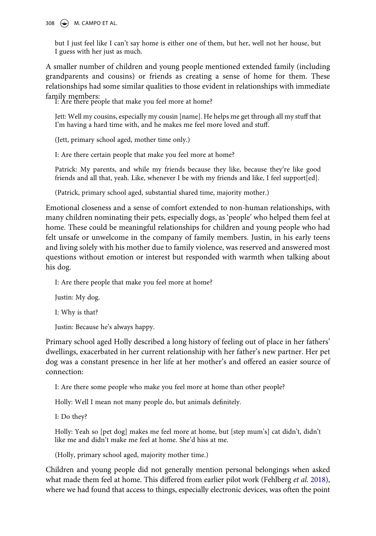308 M. CAMPO ET AL.

but I just feel like I can't say home is either one of them, but her, well not her house, but I guess with her just as much.

A smaller number of children and young people mentioned extended family (including grandparents and cousins) or friends as creating a sense of home for them. These relationships had some similar qualities to those evident in relationships with immediate

family members: I: Are there people that make you feel more at home?

Jett: Well my cousins, especially my cousin [name]. He helps me get through all my stuff that I'm having a hard time with, and he makes me feel more loved and stuff.

(Jett, primary school aged, mother time only.)

I: Are there certain people that make you feel more at home?

Patrick: My parents, and while my friends because they like, because they're like good friends and all that, yeah. Like, whenever I be with my friends and like, I feel support[ed].

(Patrick, primary school aged, substantial shared time, majority mother.)

Emotional closeness and a sense of comfort extended to non-human relationships, with many children nominating their pets, especially dogs, as 'people' who helped them feel at home. These could be meaningful relationships for children and young people who had felt unsafe or unwelcome in the company of family members. Justin, in his early teens and living solely with his mother due to family violence, was reserved and answered most questions without emotion or interest but responded with warmth when talking about his dog.

I: Are there people that make you feel more at home?

Justin: My dog.

I: Why is that?

Justin: Because he's always happy.

Primary school aged Holly described a long history of feeling out of place in her fathers' dwellings, exacerbated in her current relationship with her father's new partner. Her pet dog was a constant presence in her life at her mother's and offered an easier source of connection:

I: Are there some people who make you feel more at home than other people?

Holly: Well I mean not many people do, but animals definitely.

I: Do they?

Holly: Yeah so [pet dog] makes me feel more at home, but [step mum's] cat didn't, didn't like me and didn't make me feel at home. She'd hiss at me.

(Holly, primary school aged, majority mother time.)

Children and young people did not generally mention personal belongings when asked what made them feel at home. This differed from earlier pilot work (Fehlberg *et al*. [2018](#page-19-0)), where we had found that access to things, especially electronic devices, was often the point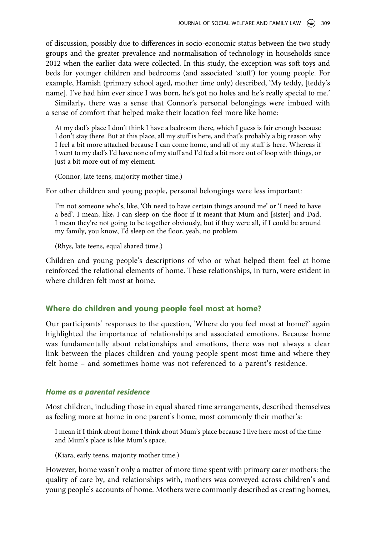of discussion, possibly due to differences in socio-economic status between the two study groups and the greater prevalence and normalisation of technology in households since 2012 when the earlier data were collected. In this study, the exception was soft toys and beds for younger children and bedrooms (and associated 'stuff') for young people. For example, Hamish (primary school aged, mother time only) described, 'My teddy, [teddy's name]. I've had him ever since I was born, he's got no holes and he's really special to me.'

Similarly, there was a sense that Connor's personal belongings were imbued with a sense of comfort that helped make their location feel more like home:

At my dad's place I don't think I have a bedroom there, which I guess is fair enough because I don't stay there. But at this place, all my stuff is here, and that's probably a big reason why I feel a bit more attached because I can come home, and all of my stuff is here. Whereas if I went to my dad's I'd have none of my stuff and I'd feel a bit more out of loop with things, or just a bit more out of my element.

(Connor, late teens, majority mother time.)

For other children and young people, personal belongings were less important:

I'm not someone who's, like, 'Oh need to have certain things around me' or 'I need to have a bed'. I mean, like, I can sleep on the floor if it meant that Mum and [sister] and Dad, I mean they're not going to be together obviously, but if they were all, if I could be around my family, you know, I'd sleep on the floor, yeah, no problem.

(Rhys, late teens, equal shared time.)

Children and young people's descriptions of who or what helped them feel at home reinforced the relational elements of home. These relationships, in turn, were evident in where children felt most at home.

#### **Where do children and young people feel most at home?**

Our participants' responses to the question, 'Where do you feel most at home?' again highlighted the importance of relationships and associated emotions. Because home was fundamentally about relationships and emotions, there was not always a clear link between the places children and young people spent most time and where they felt home – and sometimes home was not referenced to a parent's residence.

#### *Home as a parental residence*

Most children, including those in equal shared time arrangements, described themselves as feeling more at home in one parent's home, most commonly their mother's:

I mean if I think about home I think about Mum's place because I live here most of the time and Mum's place is like Mum's space.

(Kiara, early teens, majority mother time.)

However, home wasn't only a matter of more time spent with primary carer mothers: the quality of care by, and relationships with, mothers was conveyed across children's and young people's accounts of home. Mothers were commonly described as creating homes,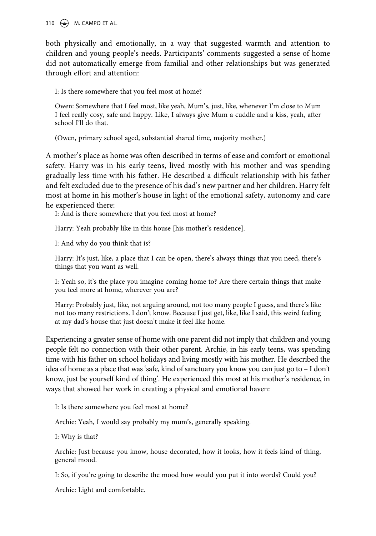310  $\left(\frac{1}{2}\right)$  M. CAMPO ET AL.

both physically and emotionally, in a way that suggested warmth and attention to children and young people's needs. Participants' comments suggested a sense of home did not automatically emerge from familial and other relationships but was generated through effort and attention:

I: Is there somewhere that you feel most at home?

Owen: Somewhere that I feel most, like yeah, Mum's, just, like, whenever I'm close to Mum I feel really cosy, safe and happy. Like, I always give Mum a cuddle and a kiss, yeah, after school I'll do that.

(Owen, primary school aged, substantial shared time, majority mother.)

A mother's place as home was often described in terms of ease and comfort or emotional safety. Harry was in his early teens, lived mostly with his mother and was spending gradually less time with his father. He described a difficult relationship with his father and felt excluded due to the presence of his dad's new partner and her children. Harry felt most at home in his mother's house in light of the emotional safety, autonomy and care he experienced there:

I: And is there somewhere that you feel most at home?

Harry: Yeah probably like in this house [his mother's residence].

I: And why do you think that is?

Harry: It's just, like, a place that I can be open, there's always things that you need, there's things that you want as well.

I: Yeah so, it's the place you imagine coming home to? Are there certain things that make you feel more at home, wherever you are?

Harry: Probably just, like, not arguing around, not too many people I guess, and there's like not too many restrictions. I don't know. Because I just get, like, like I said, this weird feeling at my dad's house that just doesn't make it feel like home.

Experiencing a greater sense of home with one parent did not imply that children and young people felt no connection with their other parent. Archie, in his early teens, was spending time with his father on school holidays and living mostly with his mother. He described the idea of home as a place that was 'safe, kind of sanctuary you know you can just go to – I don't know, just be yourself kind of thing'. He experienced this most at his mother's residence, in ways that showed her work in creating a physical and emotional haven:

I: Is there somewhere you feel most at home?

Archie: Yeah, I would say probably my mum's, generally speaking.

I: Why is that?

Archie: Just because you know, house decorated, how it looks, how it feels kind of thing, general mood.

I: So, if you're going to describe the mood how would you put it into words? Could you?

Archie: Light and comfortable.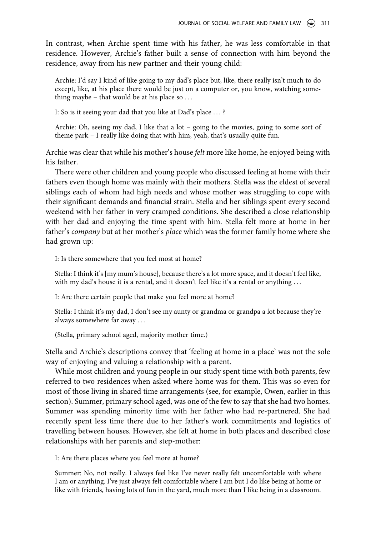In contrast, when Archie spent time with his father, he was less comfortable in that residence. However, Archie's father built a sense of connection with him beyond the residence, away from his new partner and their young child:

Archie: I'd say I kind of like going to my dad's place but, like, there really isn't much to do except, like, at his place there would be just on a computer or, you know, watching something maybe – that would be at his place so  $\dots$ 

I: So is it seeing your dad that you like at Dad's place . . . ?

Archie: Oh, seeing my dad, I like that a lot – going to the movies, going to some sort of theme park – I really like doing that with him, yeah, that's usually quite fun.

Archie was clear that while his mother's house *felt* more like home, he enjoyed being with his father.

There were other children and young people who discussed feeling at home with their fathers even though home was mainly with their mothers. Stella was the eldest of several siblings each of whom had high needs and whose mother was struggling to cope with their significant demands and financial strain. Stella and her siblings spent every second weekend with her father in very cramped conditions. She described a close relationship with her dad and enjoying the time spent with him. Stella felt more at home in her father's *company* but at her mother's *place* which was the former family home where she had grown up:

I: Is there somewhere that you feel most at home?

Stella: I think it's [my mum's house], because there's a lot more space, and it doesn't feel like, with my dad's house it is a rental, and it doesn't feel like it's a rental or anything ...

I: Are there certain people that make you feel more at home?

Stella: I think it's my dad, I don't see my aunty or grandma or grandpa a lot because they're always somewhere far away . . .

(Stella, primary school aged, majority mother time.)

Stella and Archie's descriptions convey that 'feeling at home in a place' was not the sole way of enjoying and valuing a relationship with a parent.

While most children and young people in our study spent time with both parents, few referred to two residences when asked where home was for them. This was so even for most of those living in shared time arrangements (see, for example, Owen, earlier in this section). Summer, primary school aged, was one of the few to say that she had two homes. Summer was spending minority time with her father who had re-partnered. She had recently spent less time there due to her father's work commitments and logistics of travelling between houses. However, she felt at home in both places and described close relationships with her parents and step-mother:

I: Are there places where you feel more at home?

Summer: No, not really. I always feel like I've never really felt uncomfortable with where I am or anything. I've just always felt comfortable where I am but I do like being at home or like with friends, having lots of fun in the yard, much more than I like being in a classroom.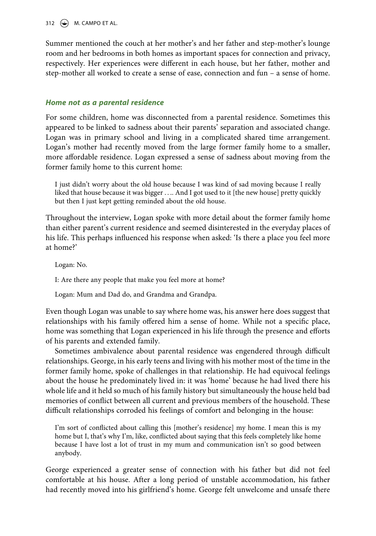Summer mentioned the couch at her mother's and her father and step-mother's lounge room and her bedrooms in both homes as important spaces for connection and privacy, respectively. Her experiences were different in each house, but her father, mother and step-mother all worked to create a sense of ease, connection and fun – a sense of home.

### *Home not as a parental residence*

For some children, home was disconnected from a parental residence. Sometimes this appeared to be linked to sadness about their parents' separation and associated change. Logan was in primary school and living in a complicated shared time arrangement. Logan's mother had recently moved from the large former family home to a smaller, more affordable residence. Logan expressed a sense of sadness about moving from the former family home to this current home:

I just didn't worry about the old house because I was kind of sad moving because I really liked that house because it was bigger . . .. And I got used to it [the new house] pretty quickly but then I just kept getting reminded about the old house.

Throughout the interview, Logan spoke with more detail about the former family home than either parent's current residence and seemed disinterested in the everyday places of his life. This perhaps influenced his response when asked: 'Is there a place you feel more at home?'

Logan: No.

I: Are there any people that make you feel more at home?

Logan: Mum and Dad do, and Grandma and Grandpa.

Even though Logan was unable to say where home was, his answer here does suggest that relationships with his family offered him a sense of home. While not a specific place, home was something that Logan experienced in his life through the presence and efforts of his parents and extended family.

Sometimes ambivalence about parental residence was engendered through difficult relationships. George, in his early teens and living with his mother most of the time in the former family home, spoke of challenges in that relationship. He had equivocal feelings about the house he predominately lived in: it was 'home' because he had lived there his whole life and it held so much of his family history but simultaneously the house held bad memories of conflict between all current and previous members of the household. These difficult relationships corroded his feelings of comfort and belonging in the house:

I'm sort of conflicted about calling this [mother's residence] my home. I mean this is my home but I, that's why I'm, like, conflicted about saying that this feels completely like home because I have lost a lot of trust in my mum and communication isn't so good between anybody.

George experienced a greater sense of connection with his father but did not feel comfortable at his house. After a long period of unstable accommodation, his father had recently moved into his girlfriend's home. George felt unwelcome and unsafe there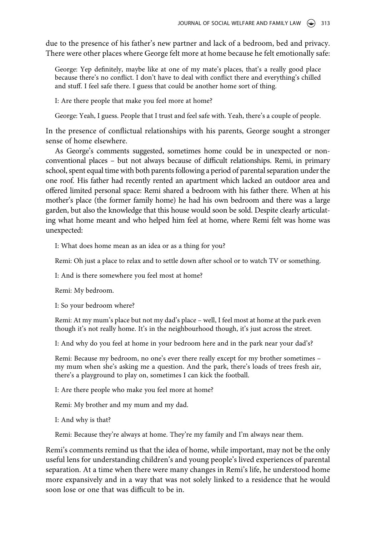due to the presence of his father's new partner and lack of a bedroom, bed and privacy. There were other places where George felt more at home because he felt emotionally safe:

George: Yep definitely, maybe like at one of my mate's places, that's a really good place because there's no conflict. I don't have to deal with conflict there and everything's chilled and stuff. I feel safe there. I guess that could be another home sort of thing.

I: Are there people that make you feel more at home?

George: Yeah, I guess. People that I trust and feel safe with. Yeah, there's a couple of people.

In the presence of conflictual relationships with his parents, George sought a stronger sense of home elsewhere.

As George's comments suggested, sometimes home could be in unexpected or nonconventional places – but not always because of difficult relationships. Remi, in primary school, spent equal time with both parents following a period of parental separation under the one roof. His father had recently rented an apartment which lacked an outdoor area and offered limited personal space: Remi shared a bedroom with his father there. When at his mother's place (the former family home) he had his own bedroom and there was a large garden, but also the knowledge that this house would soon be sold. Despite clearly articulating what home meant and who helped him feel at home, where Remi felt was home was unexpected:

I: What does home mean as an idea or as a thing for you?

Remi: Oh just a place to relax and to settle down after school or to watch TV or something.

I: And is there somewhere you feel most at home?

Remi: My bedroom.

I: So your bedroom where?

Remi: At my mum's place but not my dad's place – well, I feel most at home at the park even though it's not really home. It's in the neighbourhood though, it's just across the street.

I: And why do you feel at home in your bedroom here and in the park near your dad's?

Remi: Because my bedroom, no one's ever there really except for my brother sometimes – my mum when she's asking me a question. And the park, there's loads of trees fresh air, there's a playground to play on, sometimes I can kick the football.

I: Are there people who make you feel more at home?

Remi: My brother and my mum and my dad.

I: And why is that?

Remi: Because they're always at home. They're my family and I'm always near them.

Remi's comments remind us that the idea of home, while important, may not be the only useful lens for understanding children's and young people's lived experiences of parental separation. At a time when there were many changes in Remi's life, he understood home more expansively and in a way that was not solely linked to a residence that he would soon lose or one that was difficult to be in.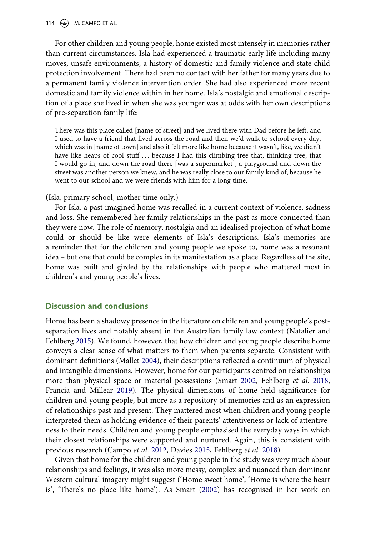For other children and young people, home existed most intensely in memories rather than current circumstances. Isla had experienced a traumatic early life including many moves, unsafe environments, a history of domestic and family violence and state child protection involvement. There had been no contact with her father for many years due to a permanent family violence intervention order. She had also experienced more recent domestic and family violence within in her home. Isla's nostalgic and emotional description of a place she lived in when she was younger was at odds with her own descriptions of pre-separation family life:

There was this place called [name of street] and we lived there with Dad before he left, and I used to have a friend that lived across the road and then we'd walk to school every day, which was in [name of town] and also it felt more like home because it wasn't, like, we didn't have like heaps of cool stuff ... because I had this climbing tree that, thinking tree, that I would go in, and down the road there [was a supermarket], a playground and down the street was another person we knew, and he was really close to our family kind of, because he went to our school and we were friends with him for a long time.

(Isla, primary school, mother time only.)

For Isla, a past imagined home was recalled in a current context of violence, sadness and loss. She remembered her family relationships in the past as more connected than they were now. The role of memory, nostalgia and an idealised projection of what home could or should be like were elements of Isla's descriptions. Isla's memories are a reminder that for the children and young people we spoke to, home was a resonant idea – but one that could be complex in its manifestation as a place. Regardless of the site, home was built and girded by the relationships with people who mattered most in children's and young people's lives.

#### **Discussion and conclusions**

Home has been a shadowy presence in the literature on children and young people's postseparation lives and notably absent in the Australian family law context (Natalier and Fehlberg [2015\)](#page-20-0). We found, however, that how children and young people describe home conveys a clear sense of what matters to them when parents separate. Consistent with dominant definitions (Mallet [2004\)](#page-20-1), their descriptions reflected a continuum of physical and intangible dimensions. However, home for our participants centred on relationships more than physical space or material possessions (Smart [2002,](#page-20-6) Fehlberg *et al*. [2018,](#page-19-0) Francia and Millear [2019\)](#page-19-5). The physical dimensions of home held significance for children and young people, but more as a repository of memories and as an expression of relationships past and present. They mattered most when children and young people interpreted them as holding evidence of their parents' attentiveness or lack of attentiveness to their needs. Children and young people emphasised the everyday ways in which their closest relationships were supported and nurtured. Again, this is consistent with previous research (Campo *et al*. [2012,](#page-19-4) Davies [2015](#page-19-3), Fehlberg *et al*. [2018](#page-19-0))

Given that home for the children and young people in the study was very much about relationships and feelings, it was also more messy, complex and nuanced than dominant Western cultural imagery might suggest ('Home sweet home', 'Home is where the heart is', 'There's no place like home'). As Smart ([2002\)](#page-20-6) has recognised in her work on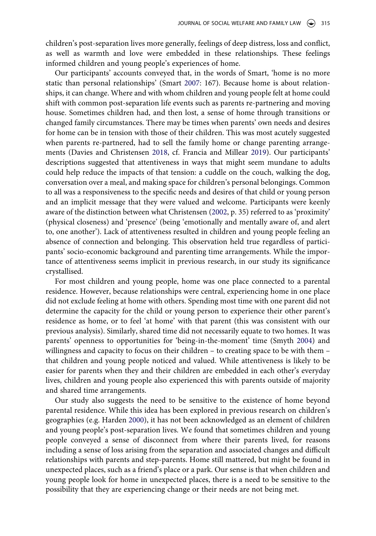children's post-separation lives more generally, feelings of deep distress, loss and conflict, as well as warmth and love were embedded in these relationships. These feelings informed children and young people's experiences of home.

<span id="page-17-3"></span><span id="page-17-1"></span>Our participants' accounts conveyed that, in the words of Smart, 'home is no more static than personal relationships' (Smart [2007](#page-20-17): 167). Because home is about relationships, it can change. Where and with whom children and young people felt at home could shift with common post-separation life events such as parents re-partnering and moving house. Sometimes children had, and then lost, a sense of home through transitions or changed family circumstances. There may be times when parents' own needs and desires for home can be in tension with those of their children. This was most acutely suggested when parents re-partnered, had to sell the family home or change parenting arrangements (Davies and Christensen [2018,](#page-19-10) cf. Francia and Millear [2019\)](#page-19-5). Our participants' descriptions suggested that attentiveness in ways that might seem mundane to adults could help reduce the impacts of that tension: a cuddle on the couch, walking the dog, conversation over a meal, and making space for children's personal belongings. Common to all was a responsiveness to the specific needs and desires of that child or young person and an implicit message that they were valued and welcome. Participants were keenly aware of the distinction between what Christensen ([2002](#page-19-11), p. 35) referred to as 'proximity' (physical closeness) and 'presence' (being 'emotionally and mentally aware of, and alert to, one another'). Lack of attentiveness resulted in children and young people feeling an absence of connection and belonging. This observation held true regardless of participants' socio-economic background and parenting time arrangements. While the importance of attentiveness seems implicit in previous research, in our study its significance crystallised.

<span id="page-17-0"></span>For most children and young people, home was one place connected to a parental residence. However, because relationships were central, experiencing home in one place did not exclude feeling at home with others. Spending most time with one parent did not determine the capacity for the child or young person to experience their other parent's residence as home, or to feel 'at home' with that parent (this was consistent with our previous analysis). Similarly, shared time did not necessarily equate to two homes. It was parents' openness to opportunities for 'being-in-the-moment' time (Smyth [2004\)](#page-20-9) and willingness and capacity to focus on their children – to creating space to be with them – that children and young people noticed and valued. While attentiveness is likely to be easier for parents when they and their children are embedded in each other's everyday lives, children and young people also experienced this with parents outside of majority and shared time arrangements.

<span id="page-17-2"></span>Our study also suggests the need to be sensitive to the existence of home beyond parental residence. While this idea has been explored in previous research on children's geographies (e.g. Harden [2000\)](#page-19-12), it has not been acknowledged as an element of children and young people's post-separation lives. We found that sometimes children and young people conveyed a sense of disconnect from where their parents lived, for reasons including a sense of loss arising from the separation and associated changes and difficult relationships with parents and step-parents. Home still mattered, but might be found in unexpected places, such as a friend's place or a park. Our sense is that when children and young people look for home in unexpected places, there is a need to be sensitive to the possibility that they are experiencing change or their needs are not being met.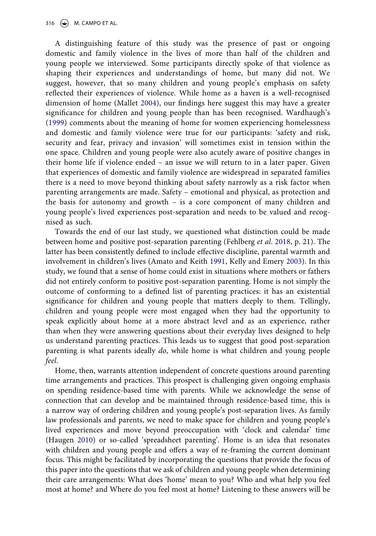<span id="page-18-1"></span>A distinguishing feature of this study was the presence of past or ongoing domestic and family violence in the lives of more than half of the children and young people we interviewed. Some participants directly spoke of that violence as shaping their experiences and understandings of home, but many did not. We suggest, however, that so many children and young people's emphasis on safety reflected their experiences of violence. While home as a haven is a well-recognised dimension of home (Mallet [2004](#page-20-1)), our findings here suggest this may have a greater significance for children and young people than has been recognised. Wardhaugh's ([1999](#page-20-18)) comments about the meaning of home for women experiencing homelessness and domestic and family violence were true for our participants: 'safety and risk, security and fear, privacy and invasion' will sometimes exist in tension within the one space. Children and young people were also acutely aware of positive changes in their home life if violence ended – an issue we will return to in a later paper. Given that experiences of domestic and family violence are widespread in separated families there is a need to move beyond thinking about safety narrowly as a risk factor when parenting arrangements are made. Safety – emotional and physical, as protection and the basis for autonomy and growth – is a core component of many children and young people's lived experiences post-separation and needs to be valued and recognised as such.

<span id="page-18-0"></span>Towards the end of our last study, we questioned what distinction could be made between home and positive post-separation parenting (Fehlberg *et al*. [2018](#page-19-0), p. 21). The latter has been consistently defined to include effective discipline, parental warmth and involvement in children's lives (Amato and Keith [1991,](#page-19-13) Kelly and Emery [2003](#page-20-19)). In this study, we found that a sense of home could exist in situations where mothers or fathers did not entirely conform to positive post-separation parenting. Home is not simply the outcome of conforming to a defined list of parenting practices: it has an existential significance for children and young people that matters deeply to them. Tellingly, children and young people were most engaged when they had the opportunity to speak explicitly about home at a more abstract level and as an experience, rather than when they were answering questions about their everyday lives designed to help us understand parenting practices. This leads us to suggest that good post-separation parenting is what parents ideally *do*, while home is what children and young people *feel*.

Home, then, warrants attention independent of concrete questions around parenting time arrangements and practices. This prospect is challenging given ongoing emphasis on spending residence-based time with parents. While we acknowledge the sense of connection that can develop and be maintained through residence-based time, this is a narrow way of ordering children and young people's post-separation lives. As family law professionals and parents, we need to make space for children and young people's lived experiences and move beyond preoccupation with 'clock and calendar' time (Haugen [2010\)](#page-20-5) or so-called 'spreadsheet parenting'. Home is an idea that resonates with children and young people and offers a way of re-framing the current dominant focus. This might be facilitated by incorporating the questions that provide the focus of this paper into the questions that we ask of children and young people when determining their care arrangements: What does 'home' mean to you? Who and what help you feel most at home? and Where do you feel most at home? Listening to these answers will be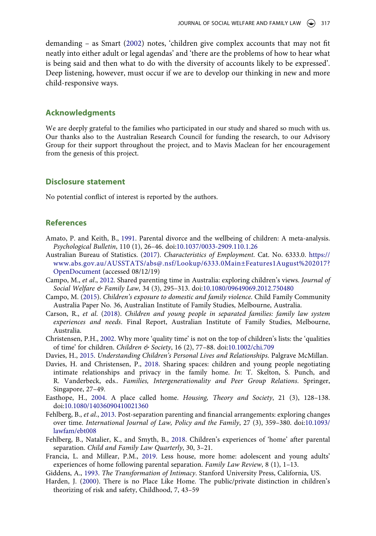demanding – as Smart ([2002\)](#page-20-6) notes, 'children give complex accounts that may not fit neatly into either adult or legal agendas' and 'there are the problems of how to hear what is being said and then what to do with the diversity of accounts likely to be expressed'. Deep listening, however, must occur if we are to develop our thinking in new and more child-responsive ways.

#### **Acknowledgments**

We are deeply grateful to the families who participated in our study and shared so much with us. Our thanks also to the Australian Research Council for funding the research, to our Advisory Group for their support throughout the project, and to Mavis Maclean for her encouragement from the genesis of this project.

#### **Disclosure statement**

No potential conflict of interest is reported by the authors.

## **References**

- <span id="page-19-13"></span>Amato, P. and Keith, B., [1991](#page-18-0). Parental divorce and the wellbeing of children: A meta-analysis. *Psychological Bulletin*, 110 (1), 26–46. doi:[10.1037/0033-2909.110.1.26](https://doi.org/10.1037/0033-2909.110.1.26)
- <span id="page-19-8"></span>Australian Bureau of Statistics. ([2017](#page-4-0)). *Characteristics of Employment*. Cat. No. 6333.0. [https://](https://www.abs.gov.au/AUSSTATS/abs@.nsf/Lookup/6333.0Main%B1Features1August%202017?OpenDocument) [www.abs.gov.au/AUSSTATS/abs@.nsf/Lookup/6333.0Main±Features1August%202017?](https://www.abs.gov.au/AUSSTATS/abs@.nsf/Lookup/6333.0Main%B1Features1August%202017?OpenDocument)  [OpenDocument](https://www.abs.gov.au/AUSSTATS/abs@.nsf/Lookup/6333.0Main%B1Features1August%202017?OpenDocument) (accessed 08/12/19)
- <span id="page-19-4"></span>Campo, M., *et al*., [2012](#page-2-0). Shared parenting time in Australia: exploring children's views. *Journal of Social Welfare & Family Law*, 34 (3), 295–313. doi:[10.1080/09649069.2012.750480](https://doi.org/10.1080/09649069.2012.750480)
- <span id="page-19-9"></span>Campo, M. [\(2015](#page-7-0)). *Children's exposure to domestic and family violence*. Child Family Community Australia Paper No. 36, Australian Institute of Family Studies, Melbourne, Australia.
- <span id="page-19-6"></span>Carson, R., *et al*. [\(2018](#page-3-0)). *Children and young people in separated families: family law system experiences and needs*. Final Report, Australian Institute of Family Studies, Melbourne, Australia.
- <span id="page-19-11"></span>Christensen, P.H., [2002.](#page-17-0) Why more 'quality time' is not on the top of children's lists: the 'qualities of time' for children. *Children & Society*, 16 (2), 77–88. doi:[10.1002/chi.709](https://doi.org/10.1002/chi.709)
- <span id="page-19-3"></span>Davies, H., [2015.](#page-2-1) *Understanding Children's Personal Lives and Relationships*. Palgrave McMillan.
- <span id="page-19-10"></span>Davies, H. and Christensen, P., [2018.](#page-17-1) Sharing spaces: children and young people negotiating intimate relationships and privacy in the family home. *In*: T. Skelton, S. Punch, and R. Vanderbeck, eds.. *Families, Intergenerationality and Peer Group Relations*. Springer, Singapore, 27–49.
- <span id="page-19-2"></span>Easthope, H., [2004](#page-1-0). A place called home. *Housing, Theory and Society*, 21 (3), 128–138. doi:[10.1080/14036090410021360](https://doi.org/10.1080/14036090410021360)
- <span id="page-19-7"></span>Fehlberg, B., *et al*., [2013](#page-4-1). Post-separation parenting and financial arrangements: exploring changes over time. *International Journal of Law, Policy and the Family*, 27 (3), 359–380. doi:[10.1093/](https://doi.org/10.1093/lawfam/ebt008) [lawfam/ebt008](https://doi.org/10.1093/lawfam/ebt008)
- <span id="page-19-0"></span>Fehlberg, B., Natalier, K., and Smyth, B., [2018](#page-1-1). Children's experiences of 'home' after parental separation. *Child and Family Law Quarterly*, 30, 3–21.
- <span id="page-19-5"></span>Francia, L. and Millear, P.M., [2019.](#page-2-2) Less house, more home: adolescent and young adults' experiences of home following parental separation. *Family Law Review*, 8 (1), 1–13.
- <span id="page-19-1"></span>Giddens, A., [1993.](#page-1-0) *The Transformation of Intimacy*. Stanford University Press, California, US.
- <span id="page-19-12"></span>Harden, J. [\(2000](#page-17-2)). There is no Place Like Home. The public/private distinction in children's theorizing of risk and safety, Childhood, 7, 43–59